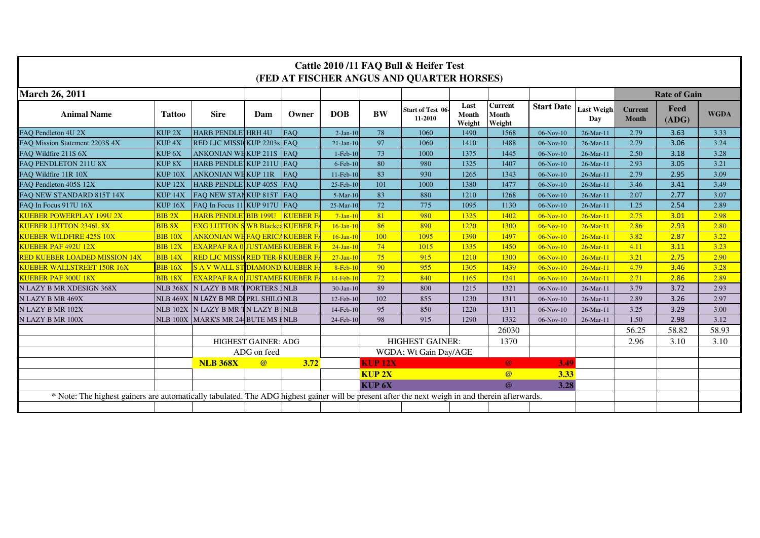| Cattle 2010/11 FAQ Bull & Heifer Test<br>(FED AT FISCHER ANGUS AND QUARTER HORSES)                                                              |                     |                                               |                            |                 |                        |                        |                                     |                         |                                   |                   |                          |                                |               |             |
|-------------------------------------------------------------------------------------------------------------------------------------------------|---------------------|-----------------------------------------------|----------------------------|-----------------|------------------------|------------------------|-------------------------------------|-------------------------|-----------------------------------|-------------------|--------------------------|--------------------------------|---------------|-------------|
| <b>March 26, 2011</b>                                                                                                                           |                     |                                               |                            |                 |                        |                        |                                     |                         |                                   |                   |                          | <b>Rate of Gain</b>            |               |             |
| <b>Animal Name</b>                                                                                                                              | <b>Tattoo</b>       | <b>Sire</b>                                   | Dam                        | Owner           | <b>DOB</b>             | <b>BW</b>              | <b>Start of Test 06-</b><br>11-2010 | Last<br>Month<br>Weight | <b>Current</b><br>Month<br>Weight | <b>Start Date</b> | <b>Last Weigh</b><br>Dav | <b>Current</b><br><b>Month</b> | Feed<br>(ADG) | <b>WGDA</b> |
| FAO Pendleton 4U 2X                                                                                                                             | KUP <sub>2X</sub>   | HARB PENDLE HRH 4U                            |                            | <b>FAO</b>      | $2-Jan-10$             | 78                     | 1060                                | 1490                    | 1568                              | $06-Nov-10$       | $26$ -Mar-11             | 2.79                           | 3.63          | 3.33        |
| FAO Mission Statement 2203S 4X                                                                                                                  | KUP <sub>4X</sub>   | <b>RED LJC MISSICKUP 2203s</b>                |                            | FAO             | $21-Jan-10$            | 97                     | 1060                                | 1410                    | 1488                              | 06-Nov-10         | 26-Mar-11                | 2.79                           | 3.06          | 3.24        |
| FAO Wildfire 211S 6X                                                                                                                            | KUP <sub>6X</sub>   | <b>ANKONIAN WEKUP 211S</b>                    |                            | <b>FAO</b>      | $1-Feb-10$             | 73                     | 1000                                | 1375                    | 1445                              | 06-Nov-10         | 26-Mar-11                | 2.50                           | 3.18          | 3.28        |
| FAO PENDLETON 211U 8X                                                                                                                           | KUP <sub>8X</sub>   | HARB PENDLE KUP 211U FAQ                      |                            |                 | $6$ -Feb- $10$         | 80                     | 980                                 | 1325                    | 1407                              | $06-Nov-10$       | $26$ -Mar-11             | 2.93                           | 3.05          | 3.21        |
| FAQ Wildfire 11R 10X                                                                                                                            | KUP <sub>10X</sub>  | <b>ANKONIAN WE KUP 11R</b>                    |                            | <b>FAO</b>      | 11-Feb-10              | 83                     | 930                                 | 1265                    | 1343                              | 06-Nov-10         | 26-Mar-11                | 2.79                           | 2.95          | 3.09        |
| FAO Pendleton 405S 12X                                                                                                                          | KUP <sub>12X</sub>  | HARB PENDLE KUP 405S                          |                            | <b>FAO</b>      | 25-Feb-10              | 101                    | 1000                                | 1380                    | 1477                              | $06-Nov-10$       | 26-Mar-11                | 3.46                           | 3.41          | 3.49        |
| FAO NEW STANDARD 815T 14X                                                                                                                       | KUP <sub>14</sub> X | FAO NEW STANKUP 815T FAO                      |                            |                 | $5-Mar-10$             | 83                     | 880                                 | 1210                    | 1268                              | 06-Nov-10         | 26-Mar-11                | 2.07                           | 2.77          | 3.07        |
| FAO In Focus 917U 16X                                                                                                                           | KUP <sub>16X</sub>  | FAQ In Focus 11 KUP 917U FAQ                  |                            |                 | $25-Mar-10$            | 72                     | 775                                 | 1095                    | 1130                              | $06-Nov-10$       | 26-Mar-11                | 1.25                           | 2.54          | 2.89        |
| <b>KUEBER POWERPLAY 199U 2X</b>                                                                                                                 | <b>BIB2X</b>        | <b>HARB PENDLE BIB 199U</b>                   |                            | <b>KUEBER F</b> | $7-Jan-1$              | 81                     | 980                                 | 1325                    | 1402                              | $06-Nov-10$       | $26$ -Mar-11             | 2.75                           | 3.01          | 2.98        |
| <b>KUEBER LUTTON 2346L 8X</b>                                                                                                                   | <b>BIB 8X</b>       | <mark>EXG LUTTON S</mark> WB Blackca KUEBER F |                            |                 | $16$ -Jan-10           | 86                     | 890                                 | 1220                    | 1300                              | $06-Nov-10$       | $26$ -Mar-11             | 2.86                           | 2.93          | 2.80        |
| <b>KUEBER WILDFIRE 425S 10X</b>                                                                                                                 | <b>BIB 10X</b>      | <b>ANKONIAN WE FAQ ERICA KUEBER F</b>         |                            |                 | $16-Jan-10$            | 100                    | 1095                                | 1390                    | 1497                              | $06-Nov-10$       | $26$ -Mar-11             | 3.82                           | 2.87          | 3.22        |
| <b>KUEBER PAF 492U 12X</b>                                                                                                                      | <b>BIB 12X</b>      | <u>EXARPAF RA 0 JUSTAMER KUEBER F</u>         |                            |                 | $24-Jan-10$            | 74                     | 1015                                | 1335                    | 1450                              | $06-Nov-10$       | $26$ -Mar-11             | 4.11                           | 3.11          | 3.23        |
| <b>RED KUEBER LOADED MISSION 14X</b>                                                                                                            | <b>BIB 14X</b>      | <b>RED LJC MISSI RED TER-F KUEBER F</b>       |                            |                 | $27-Jan-10$            | 75                     | 915                                 | 1210                    | 1300                              | $06-Nov-10$       | $26$ -Mar-11             | 3.21                           | 2.75          | 2.90        |
| <b>KUEBER WALLSTREET 150R 16X</b>                                                                                                               | <b>BIB 16X</b>      | <b>S A V WALL ST DIAMOND KUEBER F</b>         |                            |                 | $8-Feb-10$             | 90                     | 955                                 | 1305                    | 1439                              | $06-Nov-10$       | $26$ -Mar-11             | 4.79                           | 3.46          | 3.28        |
| <b>KUEBER PAF 300U 18X</b>                                                                                                                      | <b>BIB 18X</b>      | <b>EXARPAF RA 0 JUSTAMER KUEBER F</b>         |                            |                 | $14 - \text{Feb} - 10$ | 72                     | 840                                 | 1165                    | 1241                              | $06-Nov-10$       | $26$ -Mar-11             | 2.71                           | 2.86          | 2.89        |
| N LAZY B MR XDESIGN 368X                                                                                                                        |                     | NLB 368X N LAZY B MR TPORTERS 1NLB            |                            |                 | 30-Jan-10              | 89                     | 800                                 | 1215                    | 1321                              | $06-Nov-10$       | 26-Mar-11                | 3.79                           | 3.72          | 2.93        |
| N LAZY B MR 469X                                                                                                                                |                     | NLB 469X IN LAZY B MR DIPRL SHILONLB          |                            |                 | 12-Feb-10              | 102                    | 855                                 | 1230                    | 1311                              | $06-Nov-10$       | 26-Mar-11                | 2.89                           | 3.26          | 2.97        |
| N LAZY B MR 102X                                                                                                                                |                     | NLB 102X N LAZY B MR TN LAZY B NLB            |                            |                 | 14-Feb-10              | 95                     | 850                                 | 1220                    | 1311                              | $06-Nov-10$       | 26-Mar-11                | 3.25                           | 3.29          | 3.00        |
| N LAZY B MR 100X                                                                                                                                |                     | NLB 100X MARK'S MR 244 BUTE MS INLB           |                            |                 | 24-Feb-10              | 98                     | 915                                 | 1290                    | 1332                              | $06-Nov-10$       | 26-Mar-11                | 1.50                           | 2.98          | 3.12        |
|                                                                                                                                                 |                     |                                               |                            |                 |                        |                        |                                     |                         | 26030                             |                   |                          | 56.25                          | 58.82         | 58.93       |
|                                                                                                                                                 |                     |                                               | <b>HIGHEST GAINER: ADG</b> |                 |                        | <b>HIGHEST GAINER:</b> |                                     |                         | 1370                              |                   |                          | 2.96                           | 3.10          | 3.10        |
|                                                                                                                                                 |                     | ADG on feed                                   |                            |                 |                        | WGDA: Wt Gain Day/AGE  |                                     |                         |                                   |                   |                          |                                |               |             |
|                                                                                                                                                 |                     | <b>NLB 368X</b>                               | $\omega$                   | 3.72            |                        | <b>KUP 12X</b>         |                                     |                         | $\omega$                          | 3.49              |                          |                                |               |             |
|                                                                                                                                                 |                     |                                               |                            |                 |                        | <b>KUP2X</b>           |                                     |                         | $\omega$                          | 3.33              |                          |                                |               |             |
|                                                                                                                                                 |                     |                                               |                            |                 |                        | KUP <sub>6X</sub>      |                                     |                         | $\omega$                          | 3.28              |                          |                                |               |             |
| * Note: The highest gainers are automatically tabulated. The ADG highest gainer will be present after the next weigh in and therein afterwards. |                     |                                               |                            |                 |                        |                        |                                     |                         |                                   |                   |                          |                                |               |             |
|                                                                                                                                                 |                     |                                               |                            |                 |                        |                        |                                     |                         |                                   |                   |                          |                                |               |             |